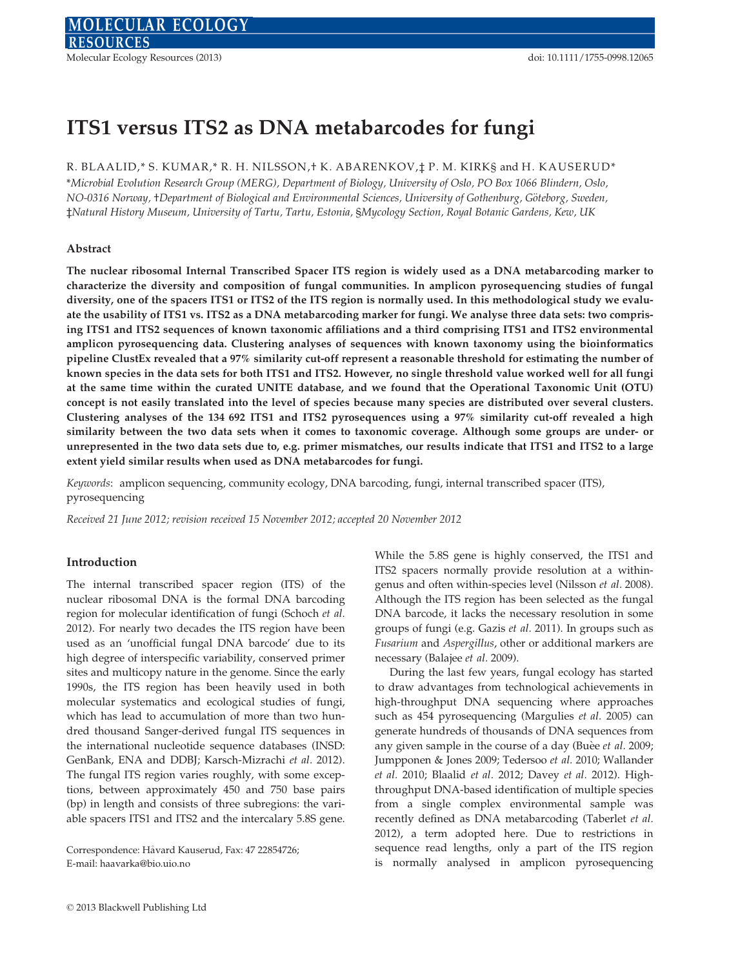# ITS1 versus ITS2 as DNA metabarcodes for fungi

# R. BLAALID,\* S. KUMAR,\* R. H. NILSSON,† K. ABARENKOV, $\ddagger$  P. M. KIRK§ and H. KAUSERUD\*

\*Microbial Evolution Research Group (MERG), Department of Biology, University of Oslo, PO Box 1066 Blindern, Oslo, NO-0316 Norway, †Department of Biological and Environmental Sciences, University of Gothenburg, Göteborg, Sweden, ‡Natural History Museum, University of Tartu, Tartu, Estonia, §Mycology Section, Royal Botanic Gardens, Kew, UK

## Abstract

The nuclear ribosomal Internal Transcribed Spacer ITS region is widely used as a DNA metabarcoding marker to characterize the diversity and composition of fungal communities. In amplicon pyrosequencing studies of fungal diversity, one of the spacers ITS1 or ITS2 of the ITS region is normally used. In this methodological study we evaluate the usability of ITS1 vs. ITS2 as a DNA metabarcoding marker for fungi. We analyse three data sets: two comprising ITS1 and ITS2 sequences of known taxonomic affiliations and a third comprising ITS1 and ITS2 environmental amplicon pyrosequencing data. Clustering analyses of sequences with known taxonomy using the bioinformatics pipeline ClustEx revealed that a 97% similarity cut-off represent a reasonable threshold for estimating the number of known species in the data sets for both ITS1 and ITS2. However, no single threshold value worked well for all fungi at the same time within the curated UNITE database, and we found that the Operational Taxonomic Unit (OTU) concept is not easily translated into the level of species because many species are distributed over several clusters. Clustering analyses of the 134 692 ITS1 and ITS2 pyrosequences using a 97% similarity cut-off revealed a high similarity between the two data sets when it comes to taxonomic coverage. Although some groups are under- or unrepresented in the two data sets due to, e.g. primer mismatches, our results indicate that ITS1 and ITS2 to a large extent yield similar results when used as DNA metabarcodes for fungi.

Keywords: amplicon sequencing, community ecology, DNA barcoding, fungi, internal transcribed spacer (ITS), pyrosequencing

Received 21 June 2012; revision received 15 November 2012; accepted 20 November 2012

#### Introduction

The internal transcribed spacer region (ITS) of the nuclear ribosomal DNA is the formal DNA barcoding region for molecular identification of fungi (Schoch et al. 2012). For nearly two decades the ITS region have been used as an 'unofficial fungal DNA barcode' due to its high degree of interspecific variability, conserved primer sites and multicopy nature in the genome. Since the early 1990s, the ITS region has been heavily used in both molecular systematics and ecological studies of fungi, which has lead to accumulation of more than two hundred thousand Sanger-derived fungal ITS sequences in the international nucleotide sequence databases (INSD: GenBank, ENA and DDBJ; Karsch-Mizrachi et al. 2012). The fungal ITS region varies roughly, with some exceptions, between approximately 450 and 750 base pairs (bp) in length and consists of three subregions: the variable spacers ITS1 and ITS2 and the intercalary 5.8S gene.

Correspondence: Havard Kauserud, Fax: 47 22854726; E-mail: haavarka@bio.uio.no

While the 5.8S gene is highly conserved, the ITS1 and ITS2 spacers normally provide resolution at a withingenus and often within-species level (Nilsson et al. 2008). Although the ITS region has been selected as the fungal DNA barcode, it lacks the necessary resolution in some groups of fungi (e.g. Gazis et al. 2011). In groups such as Fusarium and Aspergillus, other or additional markers are necessary (Balajee et al. 2009).

During the last few years, fungal ecology has started to draw advantages from technological achievements in high-throughput DNA sequencing where approaches such as 454 pyrosequencing (Margulies et al. 2005) can generate hundreds of thousands of DNA sequences from any given sample in the course of a day (Buèe et al. 2009; Jumpponen & Jones 2009; Tedersoo et al. 2010; Wallander et al. 2010; Blaalid et al. 2012; Davey et al. 2012). Highthroughput DNA-based identification of multiple species from a single complex environmental sample was recently defined as DNA metabarcoding (Taberlet et al. 2012), a term adopted here. Due to restrictions in sequence read lengths, only a part of the ITS region is normally analysed in amplicon pyrosequencing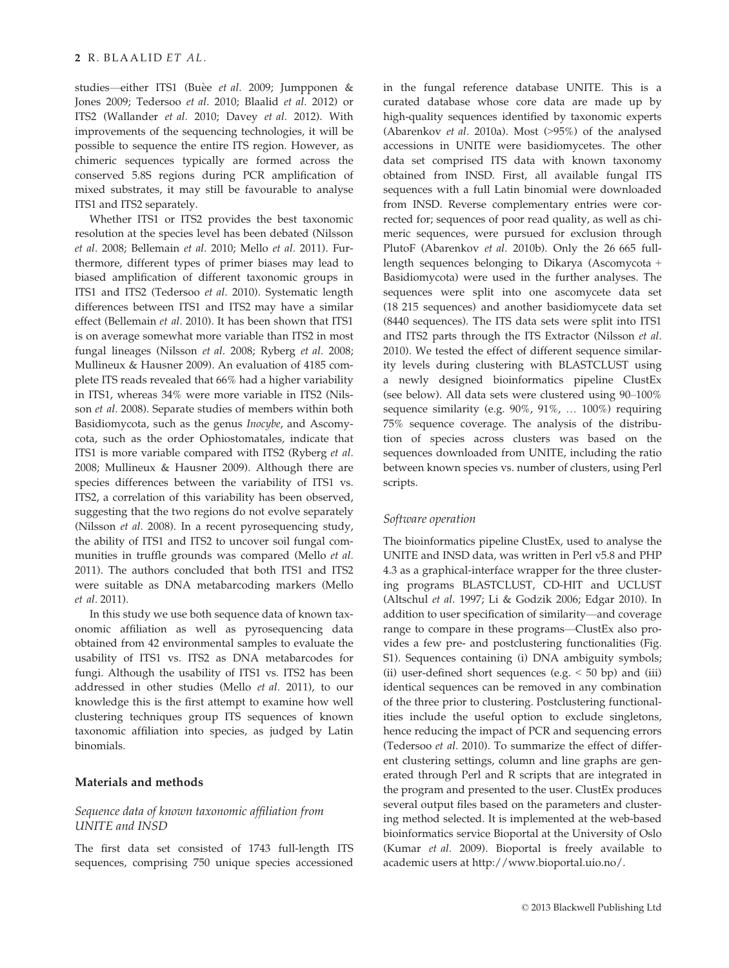studies—either ITS1 (Buèe et al. 2009; Jumpponen & Jones 2009; Tedersoo et al. 2010; Blaalid et al. 2012) or ITS2 (Wallander et al. 2010; Davey et al. 2012). With improvements of the sequencing technologies, it will be possible to sequence the entire ITS region. However, as chimeric sequences typically are formed across the conserved 5.8S regions during PCR amplification of mixed substrates, it may still be favourable to analyse ITS1 and ITS2 separately.

Whether ITS1 or ITS2 provides the best taxonomic resolution at the species level has been debated (Nilsson et al. 2008; Bellemain et al. 2010; Mello et al. 2011). Furthermore, different types of primer biases may lead to biased amplification of different taxonomic groups in ITS1 and ITS2 (Tedersoo et al. 2010). Systematic length differences between ITS1 and ITS2 may have a similar effect (Bellemain et al. 2010). It has been shown that ITS1 is on average somewhat more variable than ITS2 in most fungal lineages (Nilsson et al. 2008; Ryberg et al. 2008; Mullineux & Hausner 2009). An evaluation of 4185 complete ITS reads revealed that 66% had a higher variability in ITS1, whereas 34% were more variable in ITS2 (Nilsson et al. 2008). Separate studies of members within both Basidiomycota, such as the genus Inocybe, and Ascomycota, such as the order Ophiostomatales, indicate that ITS1 is more variable compared with ITS2 (Ryberg et al. 2008; Mullineux & Hausner 2009). Although there are species differences between the variability of ITS1 vs. ITS2, a correlation of this variability has been observed, suggesting that the two regions do not evolve separately (Nilsson et al. 2008). In a recent pyrosequencing study, the ability of ITS1 and ITS2 to uncover soil fungal communities in truffle grounds was compared (Mello et al. 2011). The authors concluded that both ITS1 and ITS2 were suitable as DNA metabarcoding markers (Mello et al. 2011).

In this study we use both sequence data of known taxonomic affiliation as well as pyrosequencing data obtained from 42 environmental samples to evaluate the usability of ITS1 vs. ITS2 as DNA metabarcodes for fungi. Although the usability of ITS1 vs. ITS2 has been addressed in other studies (Mello et al. 2011), to our knowledge this is the first attempt to examine how well clustering techniques group ITS sequences of known taxonomic affiliation into species, as judged by Latin binomials.

# Materials and methods

# Sequence data of known taxonomic affiliation from UNITE and INSD

The first data set consisted of 1743 full-length ITS sequences, comprising 750 unique species accessioned

in the fungal reference database UNITE. This is a curated database whose core data are made up by high-quality sequences identified by taxonomic experts (Abarenkov et al. 2010a). Most (>95%) of the analysed accessions in UNITE were basidiomycetes. The other data set comprised ITS data with known taxonomy obtained from INSD. First, all available fungal ITS sequences with a full Latin binomial were downloaded from INSD. Reverse complementary entries were corrected for; sequences of poor read quality, as well as chimeric sequences, were pursued for exclusion through PlutoF (Abarenkov et al. 2010b). Only the 26 665 fulllength sequences belonging to Dikarya (Ascomycota + Basidiomycota) were used in the further analyses. The sequences were split into one ascomycete data set (18 215 sequences) and another basidiomycete data set (8440 sequences). The ITS data sets were split into ITS1 and ITS2 parts through the ITS Extractor (Nilsson et al. 2010). We tested the effect of different sequence similarity levels during clustering with BLASTCLUST using a newly designed bioinformatics pipeline ClustEx (see below). All data sets were clustered using 90–100% sequence similarity (e.g. 90%, 91%, … 100%) requiring 75% sequence coverage. The analysis of the distribution of species across clusters was based on the sequences downloaded from UNITE, including the ratio between known species vs. number of clusters, using Perl scripts.

#### Software operation

The bioinformatics pipeline ClustEx, used to analyse the UNITE and INSD data, was written in Perl v5.8 and PHP 4.3 as a graphical-interface wrapper for the three clustering programs BLASTCLUST, CD-HIT and UCLUST (Altschul et al. 1997; Li & Godzik 2006; Edgar 2010). In addition to user specification of similarity—and coverage range to compare in these programs—ClustEx also provides a few pre- and postclustering functionalities (Fig. S1). Sequences containing (i) DNA ambiguity symbols; (ii) user-defined short sequences (e.g.  $<$  50 bp) and (iii) identical sequences can be removed in any combination of the three prior to clustering. Postclustering functionalities include the useful option to exclude singletons, hence reducing the impact of PCR and sequencing errors (Tedersoo et al. 2010). To summarize the effect of different clustering settings, column and line graphs are generated through Perl and R scripts that are integrated in the program and presented to the user. ClustEx produces several output files based on the parameters and clustering method selected. It is implemented at the web-based bioinformatics service Bioportal at the University of Oslo (Kumar et al. 2009). Bioportal is freely available to academic users at http://www.bioportal.uio.no/.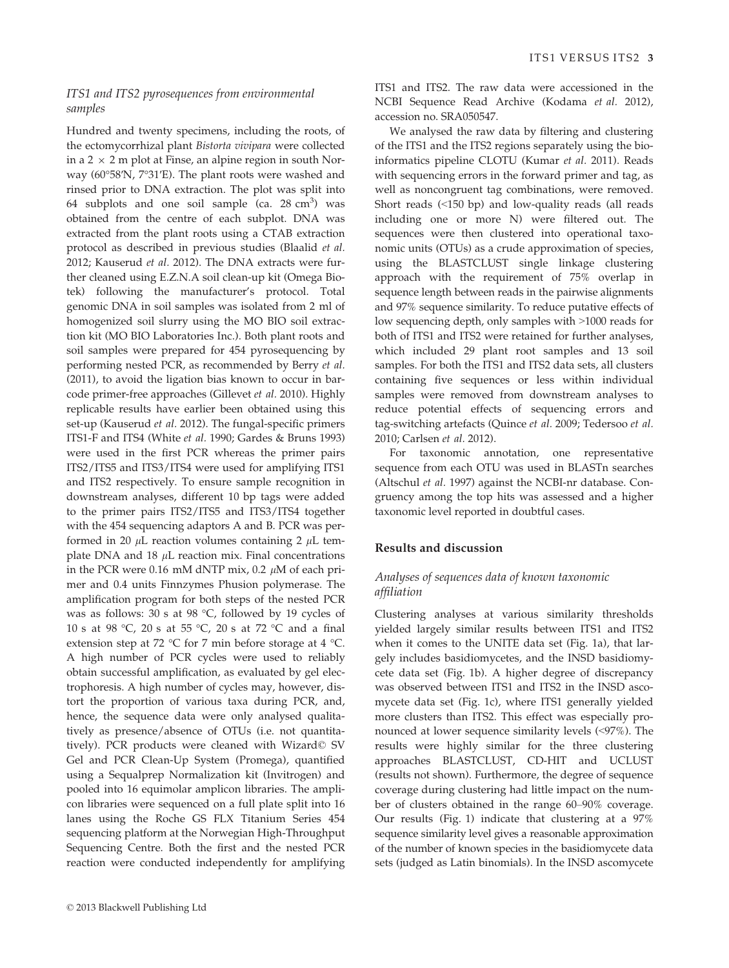# ITS1 and ITS2 pyrosequences from environmental samples

Hundred and twenty specimens, including the roots, of the ectomycorrhizal plant Bistorta vivipara were collected in a 2  $\times$  2 m plot at Finse, an alpine region in south Norway (60°58′N, 7°31′E). The plant roots were washed and rinsed prior to DNA extraction. The plot was split into 64 subplots and one soil sample (ca.  $28 \text{ cm}^3$ ) was obtained from the centre of each subplot. DNA was extracted from the plant roots using a CTAB extraction protocol as described in previous studies (Blaalid et al. 2012; Kauserud et al. 2012). The DNA extracts were further cleaned using E.Z.N.A soil clean-up kit (Omega Biotek) following the manufacturer's protocol. Total genomic DNA in soil samples was isolated from 2 ml of homogenized soil slurry using the MO BIO soil extraction kit (MO BIO Laboratories Inc.). Both plant roots and soil samples were prepared for 454 pyrosequencing by performing nested PCR, as recommended by Berry et al. (2011), to avoid the ligation bias known to occur in barcode primer-free approaches (Gillevet et al. 2010). Highly replicable results have earlier been obtained using this set-up (Kauserud et al. 2012). The fungal-specific primers ITS1-F and ITS4 (White et al. 1990; Gardes & Bruns 1993) were used in the first PCR whereas the primer pairs ITS2/ITS5 and ITS3/ITS4 were used for amplifying ITS1 and ITS2 respectively. To ensure sample recognition in downstream analyses, different 10 bp tags were added to the primer pairs ITS2/ITS5 and ITS3/ITS4 together with the 454 sequencing adaptors A and B. PCR was performed in 20  $\mu$ L reaction volumes containing 2  $\mu$ L template DNA and 18  $\mu$ L reaction mix. Final concentrations in the PCR were 0.16 mM dNTP mix, 0.2  $\mu$ M of each primer and 0.4 units Finnzymes Phusion polymerase. The amplification program for both steps of the nested PCR was as follows: 30 s at 98 °C, followed by 19 cycles of 10 s at 98 °C, 20 s at 55 °C, 20 s at 72 °C and a final extension step at 72 °C for 7 min before storage at 4 °C. A high number of PCR cycles were used to reliably obtain successful amplification, as evaluated by gel electrophoresis. A high number of cycles may, however, distort the proportion of various taxa during PCR, and, hence, the sequence data were only analysed qualitatively as presence/absence of OTUs (i.e. not quantitatively). PCR products were cleaned with Wizard© SV Gel and PCR Clean-Up System (Promega), quantified using a Sequalprep Normalization kit (Invitrogen) and pooled into 16 equimolar amplicon libraries. The amplicon libraries were sequenced on a full plate split into 16 lanes using the Roche GS FLX Titanium Series 454 sequencing platform at the Norwegian High-Throughput Sequencing Centre. Both the first and the nested PCR reaction were conducted independently for amplifying

ITS1 and ITS2. The raw data were accessioned in the NCBI Sequence Read Archive (Kodama et al. 2012), accession no. SRA050547.

We analysed the raw data by filtering and clustering of the ITS1 and the ITS2 regions separately using the bioinformatics pipeline CLOTU (Kumar et al. 2011). Reads with sequencing errors in the forward primer and tag, as well as noncongruent tag combinations, were removed. Short reads (<150 bp) and low-quality reads (all reads including one or more N) were filtered out. The sequences were then clustered into operational taxonomic units (OTUs) as a crude approximation of species, using the BLASTCLUST single linkage clustering approach with the requirement of 75% overlap in sequence length between reads in the pairwise alignments and 97% sequence similarity. To reduce putative effects of low sequencing depth, only samples with >1000 reads for both of ITS1 and ITS2 were retained for further analyses, which included 29 plant root samples and 13 soil samples. For both the ITS1 and ITS2 data sets, all clusters containing five sequences or less within individual samples were removed from downstream analyses to reduce potential effects of sequencing errors and tag-switching artefacts (Quince et al. 2009; Tedersoo et al. 2010; Carlsen et al. 2012).

For taxonomic annotation, one representative sequence from each OTU was used in BLASTn searches (Altschul et al. 1997) against the NCBI-nr database. Congruency among the top hits was assessed and a higher taxonomic level reported in doubtful cases.

#### Results and discussion

# Analyses of sequences data of known taxonomic affiliation

Clustering analyses at various similarity thresholds yielded largely similar results between ITS1 and ITS2 when it comes to the UNITE data set (Fig. 1a), that largely includes basidiomycetes, and the INSD basidiomycete data set (Fig. 1b). A higher degree of discrepancy was observed between ITS1 and ITS2 in the INSD ascomycete data set (Fig. 1c), where ITS1 generally yielded more clusters than ITS2. This effect was especially pronounced at lower sequence similarity levels (<97%). The results were highly similar for the three clustering approaches BLASTCLUST, CD-HIT and UCLUST (results not shown). Furthermore, the degree of sequence coverage during clustering had little impact on the number of clusters obtained in the range 60–90% coverage. Our results (Fig. 1) indicate that clustering at a 97% sequence similarity level gives a reasonable approximation of the number of known species in the basidiomycete data sets (judged as Latin binomials). In the INSD ascomycete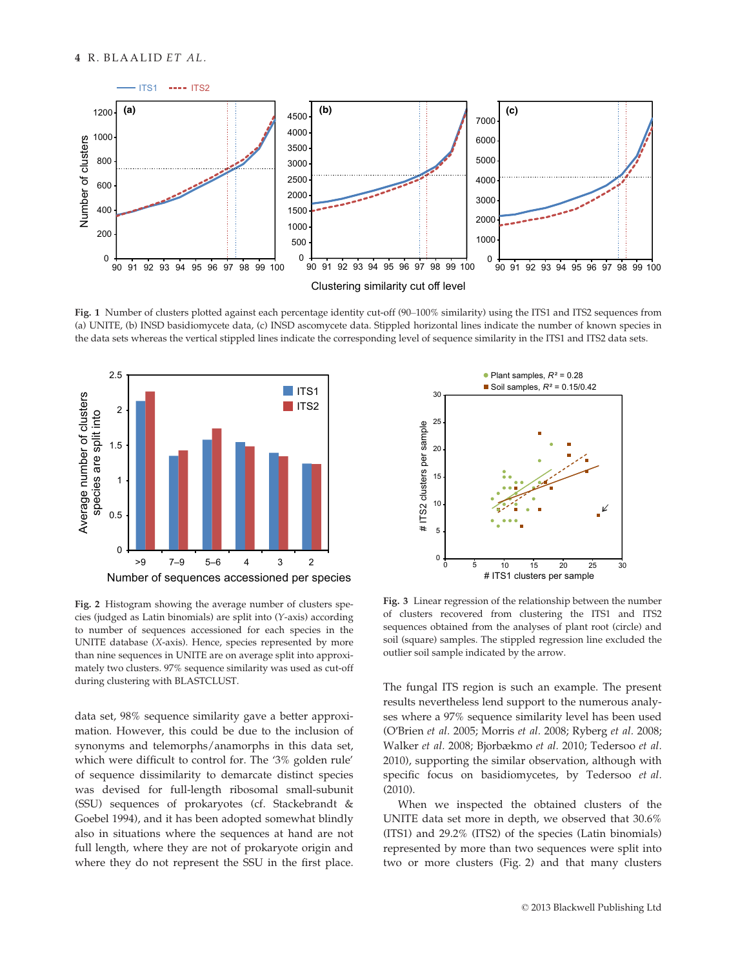

Fig. 1 Number of clusters plotted against each percentage identity cut-off (90–100% similarity) using the ITS1 and ITS2 sequences from (a) UNITE, (b) INSD basidiomycete data, (c) INSD ascomycete data. Stippled horizontal lines indicate the number of known species in the data sets whereas the vertical stippled lines indicate the corresponding level of sequence similarity in the ITS1 and ITS2 data sets.



Fig. 2 Histogram showing the average number of clusters species (judged as Latin binomials) are split into (Y-axis) according to number of sequences accessioned for each species in the UNITE database (X-axis). Hence, species represented by more than nine sequences in UNITE are on average split into approximately two clusters. 97% sequence similarity was used as cut-off during clustering with BLASTCLUST.

data set, 98% sequence similarity gave a better approximation. However, this could be due to the inclusion of synonyms and telemorphs/anamorphs in this data set, which were difficult to control for. The '3% golden rule' of sequence dissimilarity to demarcate distinct species was devised for full-length ribosomal small-subunit (SSU) sequences of prokaryotes (cf. Stackebrandt & Goebel 1994), and it has been adopted somewhat blindly also in situations where the sequences at hand are not full length, where they are not of prokaryote origin and where they do not represent the SSU in the first place.



Fig. 3 Linear regression of the relationship between the number of clusters recovered from clustering the ITS1 and ITS2 sequences obtained from the analyses of plant root (circle) and soil (square) samples. The stippled regression line excluded the outlier soil sample indicated by the arrow.

The fungal ITS region is such an example. The present results nevertheless lend support to the numerous analyses where a 97% sequence similarity level has been used (O′Brien et al. 2005; Morris et al. 2008; Ryberg et al. 2008; Walker et al. 2008; Bjorbækmo et al. 2010; Tedersoo et al. 2010), supporting the similar observation, although with specific focus on basidiomycetes, by Tedersoo et al. (2010).

When we inspected the obtained clusters of the UNITE data set more in depth, we observed that 30.6% (ITS1) and 29.2% (ITS2) of the species (Latin binomials) represented by more than two sequences were split into two or more clusters (Fig. 2) and that many clusters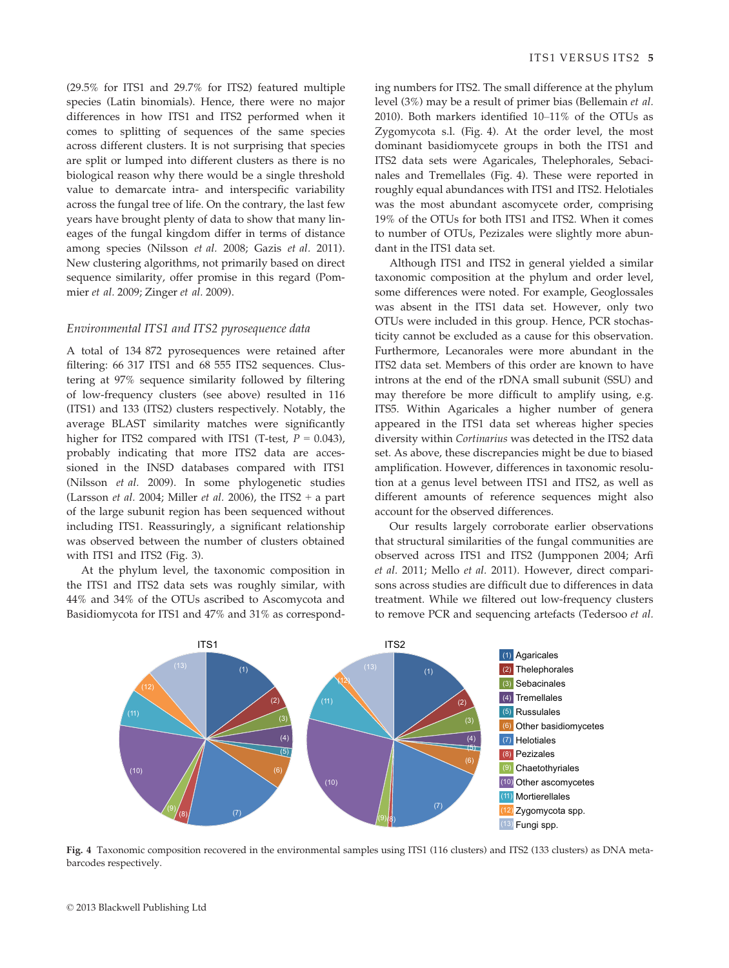(29.5% for ITS1 and 29.7% for ITS2) featured multiple species (Latin binomials). Hence, there were no major differences in how ITS1 and ITS2 performed when it comes to splitting of sequences of the same species across different clusters. It is not surprising that species are split or lumped into different clusters as there is no biological reason why there would be a single threshold value to demarcate intra- and interspecific variability across the fungal tree of life. On the contrary, the last few years have brought plenty of data to show that many lineages of the fungal kingdom differ in terms of distance among species (Nilsson et al. 2008; Gazis et al. 2011). New clustering algorithms, not primarily based on direct sequence similarity, offer promise in this regard (Pommier et al. 2009; Zinger et al. 2009).

# Environmental ITS1 and ITS2 pyrosequence data

A total of 134 872 pyrosequences were retained after filtering: 66 317 ITS1 and 68 555 ITS2 sequences. Clustering at 97% sequence similarity followed by filtering of low-frequency clusters (see above) resulted in 116 (ITS1) and 133 (ITS2) clusters respectively. Notably, the average BLAST similarity matches were significantly higher for ITS2 compared with ITS1 (T-test,  $P = 0.043$ ), probably indicating that more ITS2 data are accessioned in the INSD databases compared with ITS1 (Nilsson et al. 2009). In some phylogenetic studies (Larsson *et al.* 2004; Miller *et al.* 2006), the ITS2 + a part of the large subunit region has been sequenced without including ITS1. Reassuringly, a significant relationship was observed between the number of clusters obtained with ITS1 and ITS2 (Fig. 3).

At the phylum level, the taxonomic composition in the ITS1 and ITS2 data sets was roughly similar, with 44% and 34% of the OTUs ascribed to Ascomycota and Basidiomycota for ITS1 and 47% and 31% as correspond-

ing numbers for ITS2. The small difference at the phylum level (3%) may be a result of primer bias (Bellemain et al. 2010). Both markers identified 10–11% of the OTUs as Zygomycota s.l. (Fig. 4). At the order level, the most dominant basidiomycete groups in both the ITS1 and ITS2 data sets were Agaricales, Thelephorales, Sebacinales and Tremellales (Fig. 4). These were reported in roughly equal abundances with ITS1 and ITS2. Helotiales was the most abundant ascomycete order, comprising 19% of the OTUs for both ITS1 and ITS2. When it comes to number of OTUs, Pezizales were slightly more abundant in the ITS1 data set.

Although ITS1 and ITS2 in general yielded a similar taxonomic composition at the phylum and order level, some differences were noted. For example, Geoglossales was absent in the ITS1 data set. However, only two OTUs were included in this group. Hence, PCR stochasticity cannot be excluded as a cause for this observation. Furthermore, Lecanorales were more abundant in the ITS2 data set. Members of this order are known to have introns at the end of the rDNA small subunit (SSU) and may therefore be more difficult to amplify using, e.g. ITS5. Within Agaricales a higher number of genera appeared in the ITS1 data set whereas higher species diversity within Cortinarius was detected in the ITS2 data set. As above, these discrepancies might be due to biased amplification. However, differences in taxonomic resolution at a genus level between ITS1 and ITS2, as well as different amounts of reference sequences might also account for the observed differences.

Our results largely corroborate earlier observations that structural similarities of the fungal communities are observed across ITS1 and ITS2 (Jumpponen 2004; Arfi et al. 2011; Mello et al. 2011). However, direct comparisons across studies are difficult due to differences in data treatment. While we filtered out low-frequency clusters to remove PCR and sequencing artefacts (Tedersoo et al.



Fig. 4 Taxonomic composition recovered in the environmental samples using ITS1 (116 clusters) and ITS2 (133 clusters) as DNA metabarcodes respectively.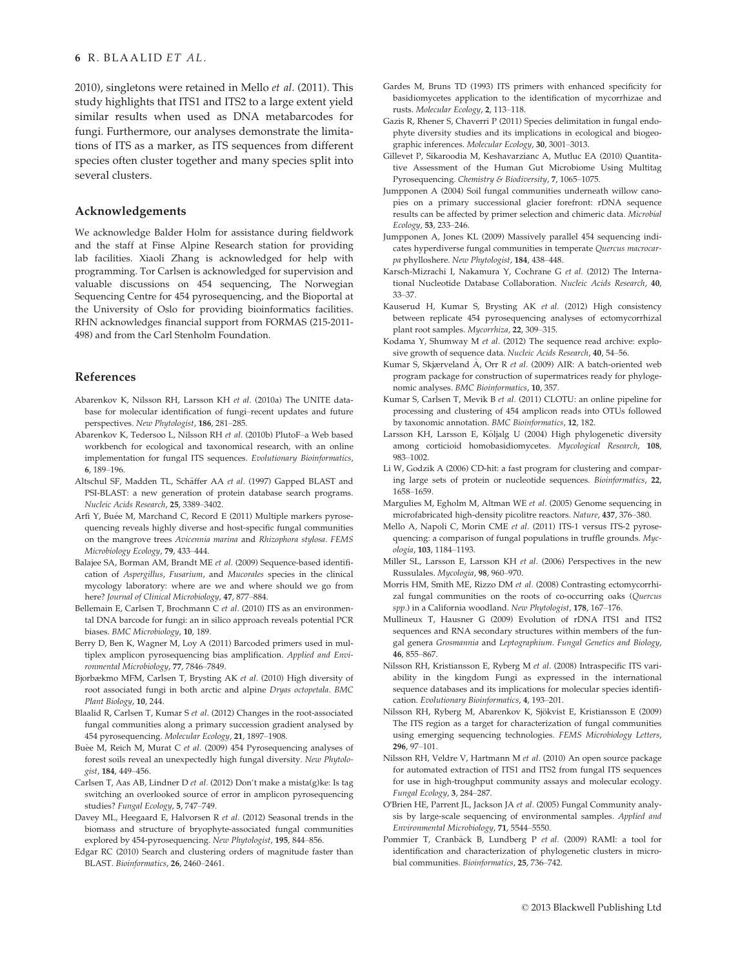2010), singletons were retained in Mello et al. (2011). This study highlights that ITS1 and ITS2 to a large extent yield similar results when used as DNA metabarcodes for fungi. Furthermore, our analyses demonstrate the limitations of ITS as a marker, as ITS sequences from different species often cluster together and many species split into several clusters.

## Acknowledgements

We acknowledge Balder Holm for assistance during fieldwork and the staff at Finse Alpine Research station for providing lab facilities. Xiaoli Zhang is acknowledged for help with programming. Tor Carlsen is acknowledged for supervision and valuable discussions on 454 sequencing, The Norwegian Sequencing Centre for 454 pyrosequencing, and the Bioportal at the University of Oslo for providing bioinformatics facilities. RHN acknowledges financial support from FORMAS (215-2011- 498) and from the Carl Stenholm Foundation.

#### References

- Abarenkov K, Nilsson RH, Larsson KH et al. (2010a) The UNITE database for molecular identification of fungi–recent updates and future perspectives. New Phytologist, 186, 281–285.
- Abarenkov K, Tedersoo L, Nilsson RH et al. (2010b) PlutoF–a Web based workbench for ecological and taxonomical research, with an online implementation for fungal ITS sequences. Evolutionary Bioinformatics, 6, 189–196.
- Altschul SF, Madden TL, Schäffer AA et al. (1997) Gapped BLAST and PSI-BLAST: a new generation of protein database search programs. Nucleic Acids Research, 25, 3389–3402.
- Arfi Y, Buée M, Marchand C, Record E (2011) Multiple markers pyrosequencing reveals highly diverse and host-specific fungal communities on the mangrove trees Avicennia marina and Rhizophora stylosa. FEMS Microbiology Ecology, 79, 433–444.
- Balajee SA, Borman AM, Brandt ME et al. (2009) Sequence-based identification of Aspergillus, Fusarium, and Mucorales species in the clinical mycology laboratory: where are we and where should we go from here? Journal of Clinical Microbiology, 47, 877–884.
- Bellemain E, Carlsen T, Brochmann C et al. (2010) ITS as an environmental DNA barcode for fungi: an in silico approach reveals potential PCR biases. BMC Microbiology, 10, 189.
- Berry D, Ben K, Wagner M, Loy A (2011) Barcoded primers used in multiplex amplicon pyrosequencing bias amplification. Applied and Environmental Microbiology, 77, 7846–7849.
- Bjorbækmo MFM, Carlsen T, Brysting AK et al. (2010) High diversity of root associated fungi in both arctic and alpine Dryas octopetala. BMC Plant Biology, 10, 244.
- Blaalid R, Carlsen T, Kumar S et al. (2012) Changes in the root-associated fungal communities along a primary succession gradient analysed by 454 pyrosequencing. Molecular Ecology, 21, 1897–1908.
- Buèe M, Reich M, Murat C et al. (2009) 454 Pyrosequencing analyses of forest soils reveal an unexpectedly high fungal diversity. New Phytologist, 184, 449–456.
- Carlsen T, Aas AB, Lindner D et al. (2012) Don't make a mista(g)ke: Is tag switching an overlooked source of error in amplicon pyrosequencing studies? Fungal Ecology, 5, 747–749.
- Davey ML, Heegaard E, Halvorsen R et al. (2012) Seasonal trends in the biomass and structure of bryophyte-associated fungal communities explored by 454-pyrosequencing. New Phytologist, 195, 844–856.
- Edgar RC (2010) Search and clustering orders of magnitude faster than BLAST. Bioinformatics, 26, 2460–2461.
- Gardes M, Bruns TD (1993) ITS primers with enhanced specificity for basidiomycetes application to the identification of mycorrhizae and rusts. Molecular Ecology, 2, 113–118.
- Gazis R, Rhener S, Chaverri P (2011) Species delimitation in fungal endophyte diversity studies and its implications in ecological and biogeographic inferences. Molecular Ecology, 30, 3001–3013.
- Gillevet P, Sikaroodia M, Keshavarzianc A, Mutluc EA (2010) Quantitative Assessment of the Human Gut Microbiome Using Multitag Pyrosequencing. Chemistry & Biodiversity, 7, 1065–1075.
- Jumpponen A (2004) Soil fungal communities underneath willow canopies on a primary successional glacier forefront: rDNA sequence results can be affected by primer selection and chimeric data. Microbial Ecology, 53, 233–246.
- Jumpponen A, Jones KL (2009) Massively parallel 454 sequencing indicates hyperdiverse fungal communities in temperate Quercus macrocarpa phylloshere. New Phytologist, 184, 438-448.
- Karsch-Mizrachi I, Nakamura Y, Cochrane G et al. (2012) The International Nucleotide Database Collaboration. Nucleic Acids Research, 40, 33–37.
- Kauserud H, Kumar S, Brysting AK et al. (2012) High consistency between replicate 454 pyrosequencing analyses of ectomycorrhizal plant root samples. Mycorrhiza, 22, 309–315.
- Kodama Y, Shumway M et al. (2012) The sequence read archive: explosive growth of sequence data. Nucleic Acids Research, 40, 54-56.
- Kumar S, Skjærveland Å, Orr R et al. (2009) AIR: A batch-oriented web program package for construction of supermatrices ready for phylogenomic analyses. BMC Bioinformatics, 10, 357.
- Kumar S, Carlsen T, Mevik B et al. (2011) CLOTU: an online pipeline for processing and clustering of 454 amplicon reads into OTUs followed by taxonomic annotation. BMC Bioinformatics, 12, 182.
- Larsson KH, Larsson E, Kõljalg U (2004) High phylogenetic diversity among corticioid homobasidiomycetes. Mycological Research, 108, 983–1002.
- Li W, Godzik A (2006) CD-hit: a fast program for clustering and comparing large sets of protein or nucleotide sequences. Bioinformatics, 22, 1658–1659.
- Margulies M, Egholm M, Altman WE et al. (2005) Genome sequencing in microfabricated high-density picolitre reactors. Nature, 437, 376–380.
- Mello A, Napoli C, Morin CME et al. (2011) ITS-1 versus ITS-2 pyrosequencing: a comparison of fungal populations in truffle grounds. Mycologia, 103, 1184–1193.
- Miller SL, Larsson E, Larsson KH et al. (2006) Perspectives in the new Russulales. Mycologia, 98, 960–970.
- Morris HM, Smith ME, Rizzo DM et al. (2008) Contrasting ectomycorrhizal fungal communities on the roots of co-occurring oaks (Quercus spp.) in a California woodland. New Phytologist, 178, 167-176.
- Mullineux T, Hausner G (2009) Evolution of rDNA ITS1 and ITS2 sequences and RNA secondary structures within members of the fungal genera Grosmannia and Leptographium. Fungal Genetics and Biology, 46, 855–867.
- Nilsson RH, Kristiansson E, Ryberg M et al. (2008) Intraspecific ITS variability in the kingdom Fungi as expressed in the international sequence databases and its implications for molecular species identification. Evolutionary Bioinformatics, 4, 193–201.
- Nilsson RH, Ryberg M, Abarenkov K, Sjökvist E, Kristiansson E (2009) The ITS region as a target for characterization of fungal communities using emerging sequencing technologies. FEMS Microbiology Letters, 296, 97–101.
- Nilsson RH, Veldre V, Hartmann M et al. (2010) An open source package for automated extraction of ITS1 and ITS2 from fungal ITS sequences for use in high-troughput community assays and molecular ecology. Fungal Ecology, 3, 284–287.
- O′Brien HE, Parrent JL, Jackson JA et al. (2005) Fungal Community analysis by large-scale sequencing of environmental samples. Applied and Environmental Microbiology, 71, 5544–5550.
- Pommier T, Cranbäck B, Lundberg P et al. (2009) RAMI: a tool for identification and characterization of phylogenetic clusters in microbial communities. Bioinformatics, 25, 736–742.